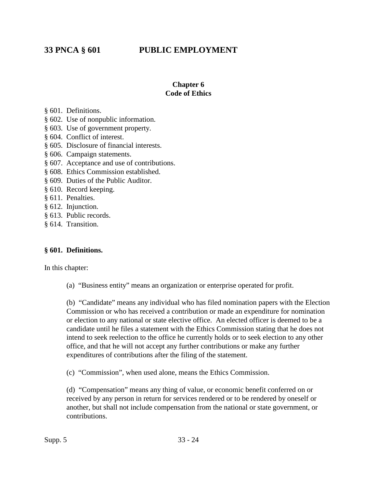# **33 PNCA § 601 PUBLIC EMPLOYMENT**

### **Chapter 6 Code of Ethics**

§ 601. Definitions.

- § 602. Use of nonpublic information.
- § 603. Use of government property.
- § 604. Conflict of interest.
- § 605. Disclosure of financial interests.
- § 606. Campaign statements.
- § 607. Acceptance and use of contributions.
- § 608. Ethics Commission established.
- § 609. Duties of the Public Auditor.
- § 610. Record keeping.
- § 611. Penalties.
- § 612. Injunction.
- § 613. Public records.
- § 614. Transition.

### **§ 601. Definitions.**

In this chapter:

(a) "Business entity" means an organization or enterprise operated for profit.

(b) "Candidate" means any individual who has filed nomination papers with the Election Commission or who has received a contribution or made an expenditure for nomination or election to any national or state elective office. An elected officer is deemed to be a candidate until he files a statement with the Ethics Commission stating that he does not intend to seek reelection to the office he currently holds or to seek election to any other office, and that he will not accept any further contributions or make any further expenditures of contributions after the filing of the statement.

(c) "Commission", when used alone, means the Ethics Commission.

(d) "Compensation" means any thing of value, or economic benefit conferred on or received by any person in return for services rendered or to be rendered by oneself or another, but shall not include compensation from the national or state government, or contributions.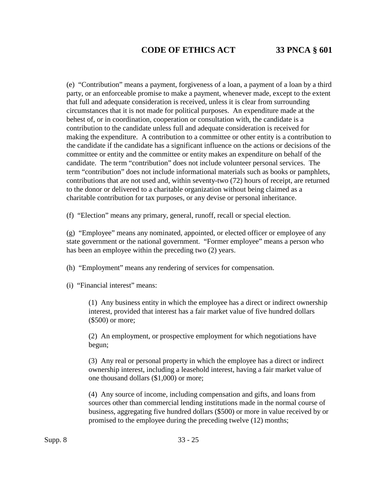(e) "Contribution" means a payment, forgiveness of a loan, a payment of a loan by a third party, or an enforceable promise to make a payment, whenever made, except to the extent that full and adequate consideration is received, unless it is clear from surrounding circumstances that it is not made for political purposes. An expenditure made at the behest of, or in coordination, cooperation or consultation with, the candidate is a contribution to the candidate unless full and adequate consideration is received for making the expenditure. A contribution to a committee or other entity is a contribution to the candidate if the candidate has a significant influence on the actions or decisions of the committee or entity and the committee or entity makes an expenditure on behalf of the candidate. The term "contribution" does not include volunteer personal services. The term "contribution" does not include informational materials such as books or pamphlets, contributions that are not used and, within seventy-two (72) hours of receipt, are returned to the donor or delivered to a charitable organization without being claimed as a charitable contribution for tax purposes, or any devise or personal inheritance.

(f) "Election" means any primary, general, runoff, recall or special election.

(g) "Employee" means any nominated, appointed, or elected officer or employee of any state government or the national government. "Former employee" means a person who has been an employee within the preceding two (2) years.

(h) "Employment" means any rendering of services for compensation.

(i) "Financial interest" means:

(1) Any business entity in which the employee has a direct or indirect ownership interest, provided that interest has a fair market value of five hundred dollars (\$500) or more;

(2) An employment, or prospective employment for which negotiations have begun;

(3) Any real or personal property in which the employee has a direct or indirect ownership interest, including a leasehold interest, having a fair market value of one thousand dollars (\$1,000) or more;

(4) Any source of income, including compensation and gifts, and loans from sources other than commercial lending institutions made in the normal course of business, aggregating five hundred dollars (\$500) or more in value received by or promised to the employee during the preceding twelve (12) months;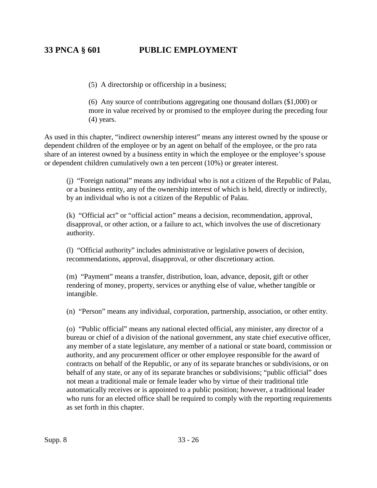# **33 PNCA § 601 PUBLIC EMPLOYMENT**

(5) A directorship or officership in a business;

(6) Any source of contributions aggregating one thousand dollars (\$1,000) or more in value received by or promised to the employee during the preceding four (4) years.

As used in this chapter, "indirect ownership interest" means any interest owned by the spouse or dependent children of the employee or by an agent on behalf of the employee, or the pro rata share of an interest owned by a business entity in which the employee or the employee's spouse or dependent children cumulatively own a ten percent (10%) or greater interest.

(j) "Foreign national" means any individual who is not a citizen of the Republic of Palau, or a business entity, any of the ownership interest of which is held, directly or indirectly, by an individual who is not a citizen of the Republic of Palau.

(k) "Official act" or "official action" means a decision, recommendation, approval, disapproval, or other action, or a failure to act, which involves the use of discretionary authority.

(l) "Official authority" includes administrative or legislative powers of decision, recommendations, approval, disapproval, or other discretionary action.

(m) "Payment" means a transfer, distribution, loan, advance, deposit, gift or other rendering of money, property, services or anything else of value, whether tangible or intangible.

(n) "Person" means any individual, corporation, partnership, association, or other entity.

(o) "Public official" means any national elected official, any minister, any director of a bureau or chief of a division of the national government, any state chief executive officer, any member of a state legislature, any member of a national or state board, commission or authority, and any procurement officer or other employee responsible for the award of contracts on behalf of the Republic, or any of its separate branches or subdivisions, or on behalf of any state, or any of its separate branches or subdivisions; "public official" does not mean a traditional male or female leader who by virtue of their traditional title automatically receives or is appointed to a public position; however, a traditional leader who runs for an elected office shall be required to comply with the reporting requirements as set forth in this chapter.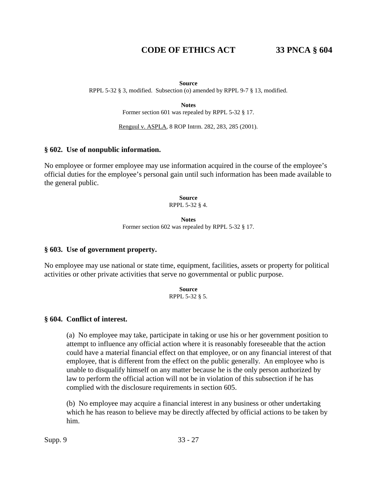#### **Source**

RPPL 5-32 § 3, modified. Subsection (o) amended by RPPL 9-7 § 13, modified.

**Notes**

Former section 601 was repealed by RPPL 5-32 § 17.

Renguul v. ASPLA, 8 ROP Intrm. 282, 283, 285 (2001).

#### **§ 602. Use of nonpublic information.**

No employee or former employee may use information acquired in the course of the employee's official duties for the employee's personal gain until such information has been made available to the general public.

> **Source** RPPL 5-32 § 4.

**Notes** Former section 602 was repealed by RPPL 5-32 § 17.

#### **§ 603. Use of government property.**

No employee may use national or state time, equipment, facilities, assets or property for political activities or other private activities that serve no governmental or public purpose.

> **Source** RPPL 5-32 § 5.

#### **§ 604. Conflict of interest.**

(a) No employee may take, participate in taking or use his or her government position to attempt to influence any official action where it is reasonably foreseeable that the action could have a material financial effect on that employee, or on any financial interest of that employee, that is different from the effect on the public generally. An employee who is unable to disqualify himself on any matter because he is the only person authorized by law to perform the official action will not be in violation of this subsection if he has complied with the disclosure requirements in section 605.

(b) No employee may acquire a financial interest in any business or other undertaking which he has reason to believe may be directly affected by official actions to be taken by him.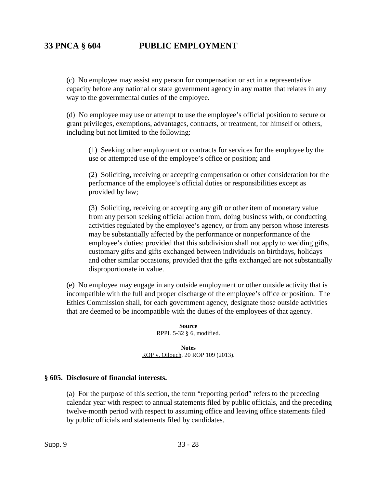# **33 PNCA § 604 PUBLIC EMPLOYMENT**

(c) No employee may assist any person for compensation or act in a representative capacity before any national or state government agency in any matter that relates in any way to the governmental duties of the employee.

(d) No employee may use or attempt to use the employee's official position to secure or grant privileges, exemptions, advantages, contracts, or treatment, for himself or others, including but not limited to the following:

(1) Seeking other employment or contracts for services for the employee by the use or attempted use of the employee's office or position; and

(2) Soliciting, receiving or accepting compensation or other consideration for the performance of the employee's official duties or responsibilities except as provided by law;

(3) Soliciting, receiving or accepting any gift or other item of monetary value from any person seeking official action from, doing business with, or conducting activities regulated by the employee's agency, or from any person whose interests may be substantially affected by the performance or nonperformance of the employee's duties; provided that this subdivision shall not apply to wedding gifts, customary gifts and gifts exchanged between individuals on birthdays, holidays and other similar occasions, provided that the gifts exchanged are not substantially disproportionate in value.

(e) No employee may engage in any outside employment or other outside activity that is incompatible with the full and proper discharge of the employee's office or position. The Ethics Commission shall, for each government agency, designate those outside activities that are deemed to be incompatible with the duties of the employees of that agency.

> **Source** RPPL 5-32 § 6, modified.

**Notes** ROP v. Oilouch, 20 ROP 109 (2013).

### **§ 605. Disclosure of financial interests.**

(a) For the purpose of this section, the term "reporting period" refers to the preceding calendar year with respect to annual statements filed by public officials, and the preceding twelve-month period with respect to assuming office and leaving office statements filed by public officials and statements filed by candidates.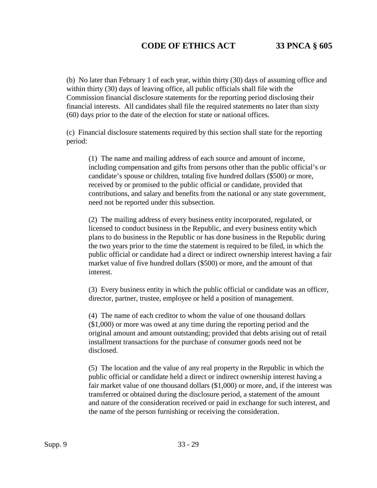(b) No later than February 1 of each year, within thirty (30) days of assuming office and within thirty (30) days of leaving office, all public officials shall file with the Commission financial disclosure statements for the reporting period disclosing their financial interests. All candidates shall file the required statements no later than sixty (60) days prior to the date of the election for state or national offices.

(c) Financial disclosure statements required by this section shall state for the reporting period:

(1) The name and mailing address of each source and amount of income, including compensation and gifts from persons other than the public official's or candidate's spouse or children, totaling five hundred dollars (\$500) or more, received by or promised to the public official or candidate, provided that contributions, and salary and benefits from the national or any state government, need not be reported under this subsection.

(2) The mailing address of every business entity incorporated, regulated, or licensed to conduct business in the Republic, and every business entity which plans to do business in the Republic or has done business in the Republic during the two years prior to the time the statement is required to be filed, in which the public official or candidate had a direct or indirect ownership interest having a fair market value of five hundred dollars (\$500) or more, and the amount of that interest.

(3) Every business entity in which the public official or candidate was an officer, director, partner, trustee, employee or held a position of management.

(4) The name of each creditor to whom the value of one thousand dollars (\$1,000) or more was owed at any time during the reporting period and the original amount and amount outstanding; provided that debts arising out of retail installment transactions for the purchase of consumer goods need not be disclosed.

(5) The location and the value of any real property in the Republic in which the public official or candidate held a direct or indirect ownership interest having a fair market value of one thousand dollars (\$1,000) or more, and, if the interest was transferred or obtained during the disclosure period, a statement of the amount and nature of the consideration received or paid in exchange for such interest, and the name of the person furnishing or receiving the consideration.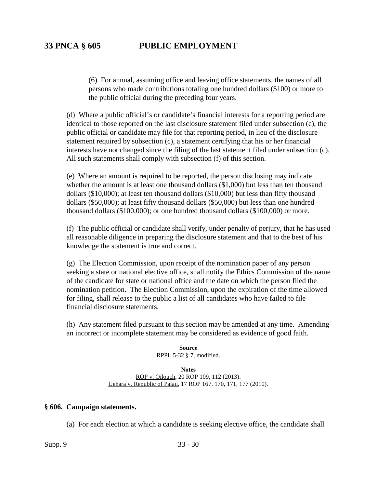(6) For annual, assuming office and leaving office statements, the names of all persons who made contributions totaling one hundred dollars (\$100) or more to the public official during the preceding four years.

(d) Where a public official's or candidate's financial interests for a reporting period are identical to those reported on the last disclosure statement filed under subsection (c), the public official or candidate may file for that reporting period, in lieu of the disclosure statement required by subsection (c), a statement certifying that his or her financial interests have not changed since the filing of the last statement filed under subsection (c). All such statements shall comply with subsection (f) of this section.

(e) Where an amount is required to be reported, the person disclosing may indicate whether the amount is at least one thousand dollars (\$1,000) but less than ten thousand dollars (\$10,000); at least ten thousand dollars (\$10,000) but less than fifty thousand dollars (\$50,000); at least fifty thousand dollars (\$50,000) but less than one hundred thousand dollars (\$100,000); or one hundred thousand dollars (\$100,000) or more.

(f) The public official or candidate shall verify, under penalty of perjury, that he has used all reasonable diligence in preparing the disclosure statement and that to the best of his knowledge the statement is true and correct.

(g) The Election Commission, upon receipt of the nomination paper of any person seeking a state or national elective office, shall notify the Ethics Commission of the name of the candidate for state or national office and the date on which the person filed the nomination petition. The Election Commission, upon the expiration of the time allowed for filing, shall release to the public a list of all candidates who have failed to file financial disclosure statements.

(h) Any statement filed pursuant to this section may be amended at any time. Amending an incorrect or incomplete statement may be considered as evidence of good faith.

> **Source** RPPL 5-32 § 7, modified.

#### **Notes**

ROP v. Oilouch, 20 ROP 109, 112 (2013). Uehara v. Republic of Palau, 17 ROP 167, 170, 171, 177 (2010).

### **§ 606. Campaign statements.**

(a) For each election at which a candidate is seeking elective office, the candidate shall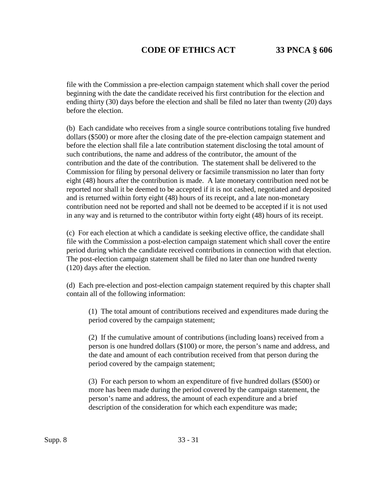file with the Commission a pre-election campaign statement which shall cover the period beginning with the date the candidate received his first contribution for the election and ending thirty (30) days before the election and shall be filed no later than twenty (20) days before the election.

(b) Each candidate who receives from a single source contributions totaling five hundred dollars (\$500) or more after the closing date of the pre-election campaign statement and before the election shall file a late contribution statement disclosing the total amount of such contributions, the name and address of the contributor, the amount of the contribution and the date of the contribution. The statement shall be delivered to the Commission for filing by personal delivery or facsimile transmission no later than forty eight (48) hours after the contribution is made. A late monetary contribution need not be reported nor shall it be deemed to be accepted if it is not cashed, negotiated and deposited and is returned within forty eight (48) hours of its receipt, and a late non-monetary contribution need not be reported and shall not be deemed to be accepted if it is not used in any way and is returned to the contributor within forty eight (48) hours of its receipt.

(c) For each election at which a candidate is seeking elective office, the candidate shall file with the Commission a post-election campaign statement which shall cover the entire period during which the candidate received contributions in connection with that election. The post-election campaign statement shall be filed no later than one hundred twenty (120) days after the election.

(d) Each pre-election and post-election campaign statement required by this chapter shall contain all of the following information:

(1) The total amount of contributions received and expenditures made during the period covered by the campaign statement;

(2) If the cumulative amount of contributions (including loans) received from a person is one hundred dollars (\$100) or more, the person's name and address, and the date and amount of each contribution received from that person during the period covered by the campaign statement;

(3) For each person to whom an expenditure of five hundred dollars (\$500) or more has been made during the period covered by the campaign statement, the person's name and address, the amount of each expenditure and a brief description of the consideration for which each expenditure was made;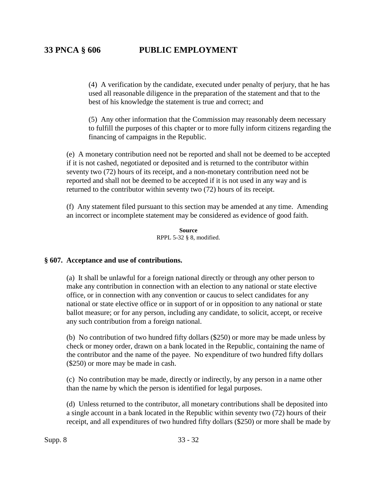(4) A verification by the candidate, executed under penalty of perjury, that he has used all reasonable diligence in the preparation of the statement and that to the best of his knowledge the statement is true and correct; and

(5) Any other information that the Commission may reasonably deem necessary to fulfill the purposes of this chapter or to more fully inform citizens regarding the financing of campaigns in the Republic.

(e) A monetary contribution need not be reported and shall not be deemed to be accepted if it is not cashed, negotiated or deposited and is returned to the contributor within seventy two (72) hours of its receipt, and a non-monetary contribution need not be reported and shall not be deemed to be accepted if it is not used in any way and is returned to the contributor within seventy two (72) hours of its receipt.

(f) Any statement filed pursuant to this section may be amended at any time. Amending an incorrect or incomplete statement may be considered as evidence of good faith.

> **Source** RPPL 5-32 § 8, modified.

### **§ 607. Acceptance and use of contributions.**

(a) It shall be unlawful for a foreign national directly or through any other person to make any contribution in connection with an election to any national or state elective office, or in connection with any convention or caucus to select candidates for any national or state elective office or in support of or in opposition to any national or state ballot measure; or for any person, including any candidate, to solicit, accept, or receive any such contribution from a foreign national.

(b) No contribution of two hundred fifty dollars (\$250) or more may be made unless by check or money order, drawn on a bank located in the Republic, containing the name of the contributor and the name of the payee. No expenditure of two hundred fifty dollars (\$250) or more may be made in cash.

(c) No contribution may be made, directly or indirectly, by any person in a name other than the name by which the person is identified for legal purposes.

(d) Unless returned to the contributor, all monetary contributions shall be deposited into a single account in a bank located in the Republic within seventy two (72) hours of their receipt, and all expenditures of two hundred fifty dollars (\$250) or more shall be made by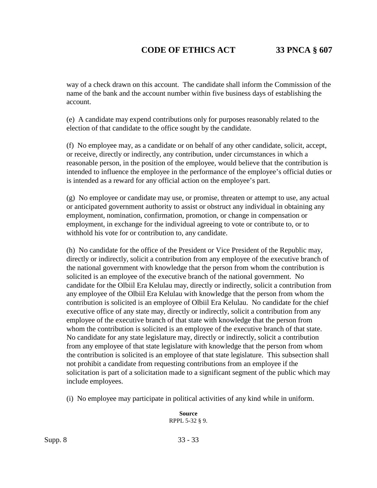way of a check drawn on this account. The candidate shall inform the Commission of the name of the bank and the account number within five business days of establishing the account.

(e) A candidate may expend contributions only for purposes reasonably related to the election of that candidate to the office sought by the candidate.

(f) No employee may, as a candidate or on behalf of any other candidate, solicit, accept, or receive, directly or indirectly, any contribution, under circumstances in which a reasonable person, in the position of the employee, would believe that the contribution is intended to influence the employee in the performance of the employee's official duties or is intended as a reward for any official action on the employee's part.

(g) No employee or candidate may use, or promise, threaten or attempt to use, any actual or anticipated government authority to assist or obstruct any individual in obtaining any employment, nomination, confirmation, promotion, or change in compensation or employment, in exchange for the individual agreeing to vote or contribute to, or to withhold his vote for or contribution to, any candidate.

(h) No candidate for the office of the President or Vice President of the Republic may, directly or indirectly, solicit a contribution from any employee of the executive branch of the national government with knowledge that the person from whom the contribution is solicited is an employee of the executive branch of the national government. No candidate for the Olbiil Era Kelulau may, directly or indirectly, solicit a contribution from any employee of the Olbiil Era Kelulau with knowledge that the person from whom the contribution is solicited is an employee of Olbiil Era Kelulau. No candidate for the chief executive office of any state may, directly or indirectly, solicit a contribution from any employee of the executive branch of that state with knowledge that the person from whom the contribution is solicited is an employee of the executive branch of that state. No candidate for any state legislature may, directly or indirectly, solicit a contribution from any employee of that state legislature with knowledge that the person from whom the contribution is solicited is an employee of that state legislature. This subsection shall not prohibit a candidate from requesting contributions from an employee if the solicitation is part of a solicitation made to a significant segment of the public which may include employees.

(i) No employee may participate in political activities of any kind while in uniform.

**Source** RPPL 5-32 § 9.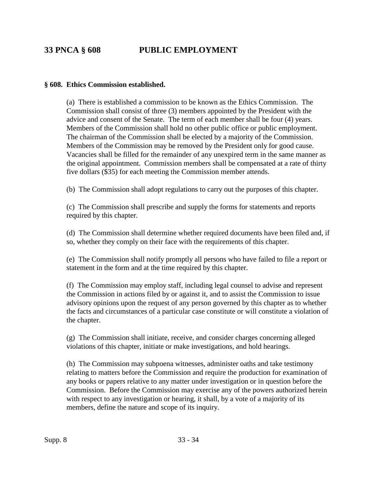# **33 PNCA § 608 PUBLIC EMPLOYMENT**

### **§ 608. Ethics Commission established.**

(a) There is established a commission to be known as the Ethics Commission. The Commission shall consist of three (3) members appointed by the President with the advice and consent of the Senate. The term of each member shall be four (4) years. Members of the Commission shall hold no other public office or public employment. The chairman of the Commission shall be elected by a majority of the Commission. Members of the Commission may be removed by the President only for good cause. Vacancies shall be filled for the remainder of any unexpired term in the same manner as the original appointment. Commission members shall be compensated at a rate of thirty five dollars (\$35) for each meeting the Commission member attends.

(b) The Commission shall adopt regulations to carry out the purposes of this chapter.

(c) The Commission shall prescribe and supply the forms for statements and reports required by this chapter.

(d) The Commission shall determine whether required documents have been filed and, if so, whether they comply on their face with the requirements of this chapter.

(e) The Commission shall notify promptly all persons who have failed to file a report or statement in the form and at the time required by this chapter.

(f) The Commission may employ staff, including legal counsel to advise and represent the Commission in actions filed by or against it, and to assist the Commission to issue advisory opinions upon the request of any person governed by this chapter as to whether the facts and circumstances of a particular case constitute or will constitute a violation of the chapter.

(g) The Commission shall initiate, receive, and consider charges concerning alleged violations of this chapter, initiate or make investigations, and hold hearings.

(h) The Commission may subpoena witnesses, administer oaths and take testimony relating to matters before the Commission and require the production for examination of any books or papers relative to any matter under investigation or in question before the Commission. Before the Commission may exercise any of the powers authorized herein with respect to any investigation or hearing, it shall, by a vote of a majority of its members, define the nature and scope of its inquiry.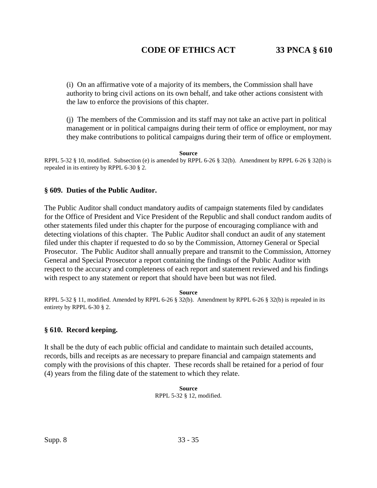(i) On an affirmative vote of a majority of its members, the Commission shall have authority to bring civil actions on its own behalf, and take other actions consistent with the law to enforce the provisions of this chapter.

(j) The members of the Commission and its staff may not take an active part in political management or in political campaigns during their term of office or employment, nor may they make contributions to political campaigns during their term of office or employment.

**Source**

RPPL 5-32 § 10, modified. Subsection (e) is amended by RPPL 6-26 § 32(b). Amendment by RPPL 6-26 § 32(b) is repealed in its entirety by RPPL 6-30 § 2.

### **§ 609. Duties of the Public Auditor.**

The Public Auditor shall conduct mandatory audits of campaign statements filed by candidates for the Office of President and Vice President of the Republic and shall conduct random audits of other statements filed under this chapter for the purpose of encouraging compliance with and detecting violations of this chapter. The Public Auditor shall conduct an audit of any statement filed under this chapter if requested to do so by the Commission, Attorney General or Special Prosecutor. The Public Auditor shall annually prepare and transmit to the Commission, Attorney General and Special Prosecutor a report containing the findings of the Public Auditor with respect to the accuracy and completeness of each report and statement reviewed and his findings with respect to any statement or report that should have been but was not filed.

#### **Source**

RPPL 5-32 § 11, modified. Amended by RPPL 6-26 § 32(b). Amendment by RPPL 6-26 § 32(b) is repealed in its entirety by RPPL 6-30 § 2.

### **§ 610. Record keeping.**

It shall be the duty of each public official and candidate to maintain such detailed accounts, records, bills and receipts as are necessary to prepare financial and campaign statements and comply with the provisions of this chapter. These records shall be retained for a period of four (4) years from the filing date of the statement to which they relate.

> **Source** RPPL 5-32 § 12, modified.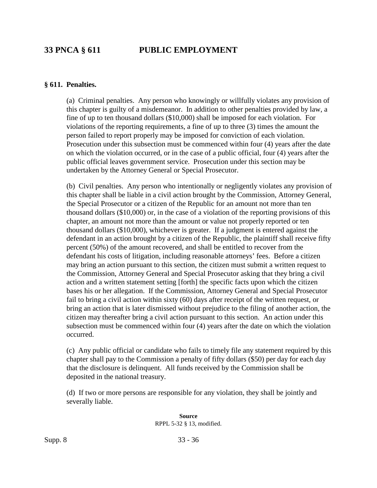# **33 PNCA § 611 PUBLIC EMPLOYMENT**

#### **§ 611. Penalties.**

(a) Criminal penalties. Any person who knowingly or willfully violates any provision of this chapter is guilty of a misdemeanor. In addition to other penalties provided by law, a fine of up to ten thousand dollars (\$10,000) shall be imposed for each violation. For violations of the reporting requirements, a fine of up to three (3) times the amount the person failed to report properly may be imposed for conviction of each violation. Prosecution under this subsection must be commenced within four (4) years after the date on which the violation occurred, or in the case of a public official, four (4) years after the public official leaves government service. Prosecution under this section may be undertaken by the Attorney General or Special Prosecutor.

(b) Civil penalties. Any person who intentionally or negligently violates any provision of this chapter shall be liable in a civil action brought by the Commission, Attorney General, the Special Prosecutor or a citizen of the Republic for an amount not more than ten thousand dollars (\$10,000) or, in the case of a violation of the reporting provisions of this chapter, an amount not more than the amount or value not properly reported or ten thousand dollars (\$10,000), whichever is greater. If a judgment is entered against the defendant in an action brought by a citizen of the Republic, the plaintiff shall receive fifty percent (50%) of the amount recovered, and shall be entitled to recover from the defendant his costs of litigation, including reasonable attorneys' fees. Before a citizen may bring an action pursuant to this section, the citizen must submit a written request to the Commission, Attorney General and Special Prosecutor asking that they bring a civil action and a written statement setting [forth] the specific facts upon which the citizen bases his or her allegation. If the Commission, Attorney General and Special Prosecutor fail to bring a civil action within sixty (60) days after receipt of the written request, or bring an action that is later dismissed without prejudice to the filing of another action, the citizen may thereafter bring a civil action pursuant to this section. An action under this subsection must be commenced within four (4) years after the date on which the violation occurred.

(c) Any public official or candidate who fails to timely file any statement required by this chapter shall pay to the Commission a penalty of fifty dollars (\$50) per day for each day that the disclosure is delinquent. All funds received by the Commission shall be deposited in the national treasury.

(d) If two or more persons are responsible for any violation, they shall be jointly and severally liable.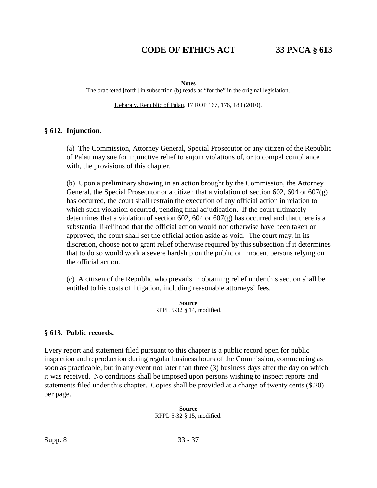#### **Notes**

The bracketed [forth] in subsection (b) reads as "for the" in the original legislation.

Uehara v. Republic of Palau, 17 ROP 167, 176, 180 (2010).

#### **§ 612. Injunction.**

(a) The Commission, Attorney General, Special Prosecutor or any citizen of the Republic of Palau may sue for injunctive relief to enjoin violations of, or to compel compliance with, the provisions of this chapter.

(b) Upon a preliminary showing in an action brought by the Commission, the Attorney General, the Special Prosecutor or a citizen that a violation of section 602, 604 or 607 $(g)$ has occurred, the court shall restrain the execution of any official action in relation to which such violation occurred, pending final adjudication. If the court ultimately determines that a violation of section 602, 604 or 607 $(g)$  has occurred and that there is a substantial likelihood that the official action would not otherwise have been taken or approved, the court shall set the official action aside as void. The court may, in its discretion, choose not to grant relief otherwise required by this subsection if it determines that to do so would work a severe hardship on the public or innocent persons relying on the official action.

(c) A citizen of the Republic who prevails in obtaining relief under this section shall be entitled to his costs of litigation, including reasonable attorneys' fees.

> **Source** RPPL 5-32 § 14, modified.

### **§ 613. Public records.**

Every report and statement filed pursuant to this chapter is a public record open for public inspection and reproduction during regular business hours of the Commission, commencing as soon as practicable, but in any event not later than three (3) business days after the day on which it was received. No conditions shall be imposed upon persons wishing to inspect reports and statements filed under this chapter. Copies shall be provided at a charge of twenty cents (\$.20) per page.

> **Source** RPPL 5-32 § 15, modified.